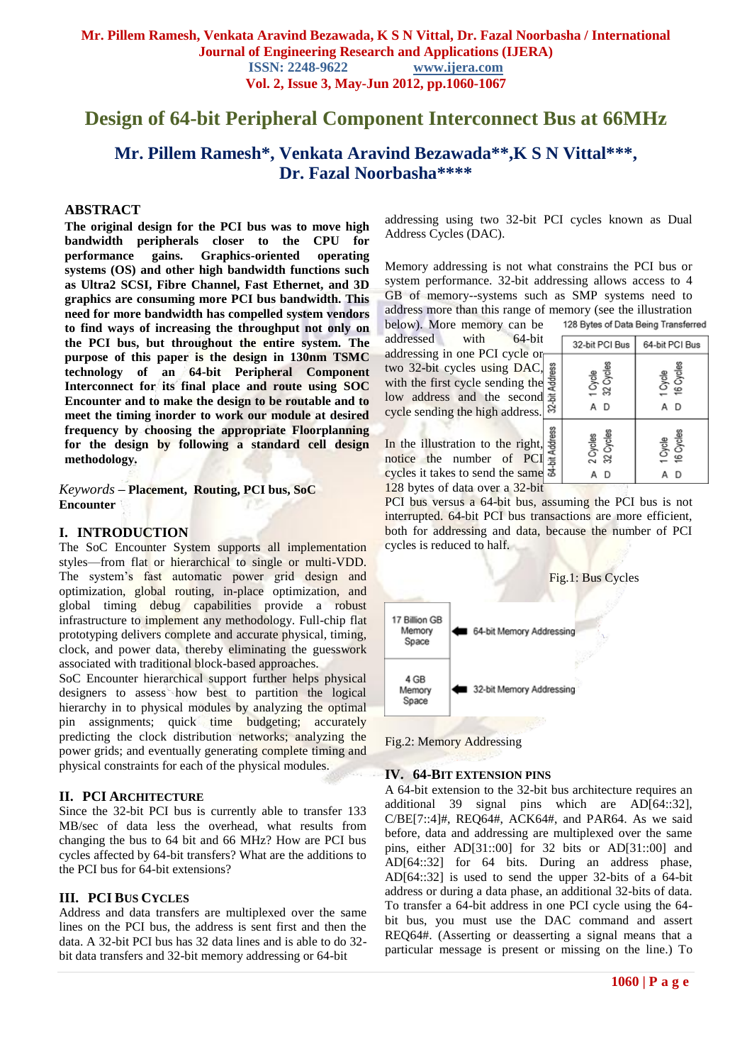# **Design of 64-bit Peripheral Component Interconnect Bus at 66MHz**

# **Mr. Pillem Ramesh\*, Venkata Aravind Bezawada\*\*,K S N Vittal\*\*\* , Dr. Fazal Noorbasha\*\*\*\***

#### **ABSTRACT**

**The original design for the PCI bus was to move high bandwidth peripherals closer to the CPU for**  gains. Graphics-oriented operating **systems (OS) and other high bandwidth functions such as Ultra2 SCSI, Fibre Channel, Fast Ethernet, and 3D graphics are consuming more PCI bus bandwidth. This need for more bandwidth has compelled system vendors to find ways of increasing the throughput not only on the PCI bus, but throughout the entire system. The purpose of this paper is the design in 130nm TSMC technology of an 64-bit Peripheral Component Interconnect for its final place and route using SOC Encounter and to make the design to be routable and to meet the timing inorder to work our module at desired frequency by choosing the appropriate Floorplanning for the design by following a standard cell design methodology.**

*Keywords* **– Placement, Routing, PCI bus, SoC Encounter**

#### **I. INTRODUCTION**

The SoC Encounter System supports all implementation styles—from flat or hierarchical to single or multi-VDD. The system's fast automatic power grid design and optimization, global routing, in-place optimization, and global timing debug capabilities provide a robust infrastructure to implement any methodology. Full-chip flat prototyping delivers complete and accurate physical, timing, clock, and power data, thereby eliminating the guesswork associated with traditional block-based approaches.

SoC Encounter hierarchical support further helps physical designers to assess how best to partition the logical hierarchy in to physical modules by analyzing the optimal pin assignments; quick time budgeting; accurately predicting the clock distribution networks; analyzing the power grids; and eventually generating complete timing and physical constraints for each of the physical modules.

#### **II. PCI ARCHITECTURE**

Since the 32-bit PCI bus is currently able to transfer 133 MB/sec of data less the overhead, what results from changing the bus to 64 bit and 66 MHz? How are PCI bus cycles affected by 64-bit transfers? What are the additions to the PCI bus for 64-bit extensions?

#### **III. PCI BUS CYCLES**

Address and data transfers are multiplexed over the same lines on the PCI bus, the address is sent first and then the data. A 32-bit PCI bus has 32 data lines and is able to do 32 bit data transfers and 32-bit memory addressing or 64-bit

addressing using two 32-bit PCI cycles known as Dual Address Cycles (DAC).

Memory addressing is not what constrains the PCI bus or system performance. 32-bit addressing allows access to 4 GB of memory--systems such as SMP systems need to address more than this range of memory (see the illustration 128 Bytes of Data Being Transferred

below). More memory can be addressed with 64 addressing in one PCI cycl two  $32$ -bit cycles using D. with the first cycle sending low address and the sec cycle sending the high addr

In the illustration to the right notice the number of cycles it takes to send the same 128 bytes of data over a 32-bit

| l-bit<br>e or |                | 32-bit PCI Bus        | 64-bit PCI Bus       |
|---------------|----------------|-----------------------|----------------------|
|               |                |                       |                      |
| AC,           |                |                       |                      |
| the           | 32-bit Address | 32 Cycles<br>1 Cycle  | 16 Cycles<br>1 Cycle |
| ond           |                |                       |                      |
| ess.          |                | D<br>А                | D<br>Α               |
|               |                |                       |                      |
| ght,<br> PCI  | 64-bit Address | 32 Cycles<br>2 Cycles | 16 Cycles<br>1 Cycle |
| ame           |                | D<br>А                | D<br>А               |

PCI bus versus a 64-bit bus, assuming the PCI bus is not interrupted. 64-bit PCI bus transactions are more efficient, both for addressing and data, because the number of PCI cycles is reduced to half.



Fig.2: Memory Addressing

#### **IV. 64-BIT EXTENSION PINS**

A 64-bit extension to the 32-bit bus architecture requires an additional 39 signal pins which are AD[64::32], C/BE[7::4]#, REQ64#, ACK64#, and PAR64. As we said before, data and addressing are multiplexed over the same pins, either AD[31::00] for 32 bits or AD[31::00] and AD[64::32] for 64 bits. During an address phase, AD[64::32] is used to send the upper 32-bits of a 64-bit address or during a data phase, an additional 32-bits of data. To transfer a 64-bit address in one PCI cycle using the 64 bit bus, you must use the DAC command and assert REQ64#. (Asserting or deasserting a signal means that a particular message is present or missing on the line.) To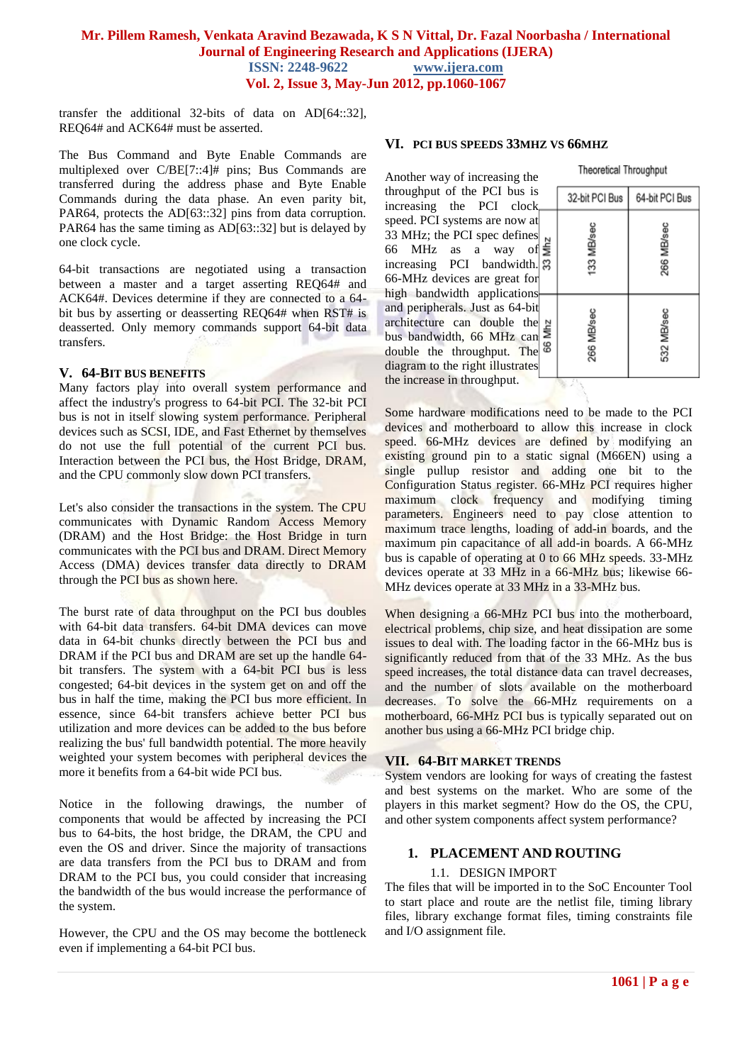transfer the additional 32-bits of data on AD[64::32], REQ64# and ACK64# must be asserted.

The Bus Command and Byte Enable Commands are multiplexed over C/BE[7::4]# pins; Bus Commands are transferred during the address phase and Byte Enable Commands during the data phase. An even parity bit, PAR64, protects the AD[63::32] pins from data corruption. PAR64 has the same timing as AD[63::32] but is delayed by one clock cycle.

64-bit transactions are negotiated using a transaction between a master and a target asserting REQ64# and ACK64#. Devices determine if they are connected to a 64 bit bus by asserting or deasserting REQ64# when RST# is deasserted. Only memory commands support 64-bit data transfers.

#### **V. 64-BIT BUS BENEFITS**

Many factors play into overall system performance and affect the industry's progress to 64-bit PCI. The 32-bit PCI bus is not in itself slowing system performance. Peripheral devices such as SCSI, IDE, and Fast Ethernet by themselves do not use the full potential of the current PCI bus. Interaction between the PCI bus, the Host Bridge, DRAM, and the CPU commonly slow down PCI transfers.

Let's also consider the transactions in the system. The CPU communicates with Dynamic Random Access Memory (DRAM) and the Host Bridge: the Host Bridge in turn communicates with the PCI bus and DRAM. Direct Memory Access (DMA) devices transfer data directly to DRAM through the PCI bus as shown here.

The burst rate of data throughput on the PCI bus doubles with 64-bit data transfers. 64-bit DMA devices can move data in 64-bit chunks directly between the PCI bus and DRAM if the PCI bus and DRAM are set up the handle 64 bit transfers. The system with a 64-bit PCI bus is less congested; 64-bit devices in the system get on and off the bus in half the time, making the PCI bus more efficient. In essence, since 64-bit transfers achieve better PCI bus utilization and more devices can be added to the bus before realizing the bus' full bandwidth potential. The more heavily weighted your system becomes with peripheral devices the more it benefits from a 64-bit wide PCI bus.

Notice in the following drawings, the number of components that would be affected by increasing the PCI bus to 64-bits, the host bridge, the DRAM, the CPU and even the OS and driver. Since the majority of transactions are data transfers from the PCI bus to DRAM and from DRAM to the PCI bus, you could consider that increasing the bandwidth of the bus would increase the performance of the system.

However, the CPU and the OS may become the bottleneck even if implementing a 64-bit PCI bus.

#### **VI. PCI BUS SPEEDS 33MHZ VS 66MHZ**

Another way of increasing the throughput of the PCI bus is increasing the PCI clock speed. PCI systems are now a 33 MHz; the PCI spec define 66 MHz as a way of increasing PCI bandwidth 66-MHz devices are great for high bandwidth application and peripherals. Just as 64-bit architecture can double th bus bandwidth, 66 MHz ca double the throughput. The diagram to the right illustrate the increase in throughput.

| 32-bit PCI Bus | 64-bit PCI Bus |
|----------------|----------------|
| 133 MB/sec     | 266 MB/sec     |
| 266 MB/sec     | 532 MB/sec     |
|                |                |

**Theoretical Throughput** 

Some hardware modifications need to be made to the PCI devices and motherboard to allow this increase in clock speed. 66-MHz devices are defined by modifying an existing ground pin to a static signal (M66EN) using a single pullup resistor and adding one bit to the Configuration Status register. 66-MHz PCI requires higher maximum clock frequency and modifying timing parameters. Engineers need to pay close attention to maximum trace lengths, loading of add-in boards, and the maximum pin capacitance of all add-in boards. A 66-MHz bus is capable of operating at 0 to 66 MHz speeds. 33-MHz devices operate at 33 MHz in a 66-MHz bus; likewise 66- MHz devices operate at 33 MHz in a 33-MHz bus.

When designing a 66-MHz PCI bus into the motherboard, electrical problems, chip size, and heat dissipation are some issues to deal with. The loading factor in the 66-MHz bus is significantly reduced from that of the 33 MHz. As the bus speed increases, the total distance data can travel decreases, and the number of slots available on the motherboard decreases. To solve the 66-MHz requirements on a motherboard, 66-MHz PCI bus is typically separated out on another bus using a 66-MHz PCI bridge chip.

## **VII. 64-BIT MARKET TRENDS**

System vendors are looking for ways of creating the fastest and best systems on the market. Who are some of the players in this market segment? How do the OS, the CPU, and other system components affect system performance?

## **1. PLACEMENT AND ROUTING**

## 1.1. DESIGN IMPORT

The files that will be imported in to the SoC Encounter Tool to start place and route are the netlist file, timing library files, library exchange format files, timing constraints file and I/O assignment file.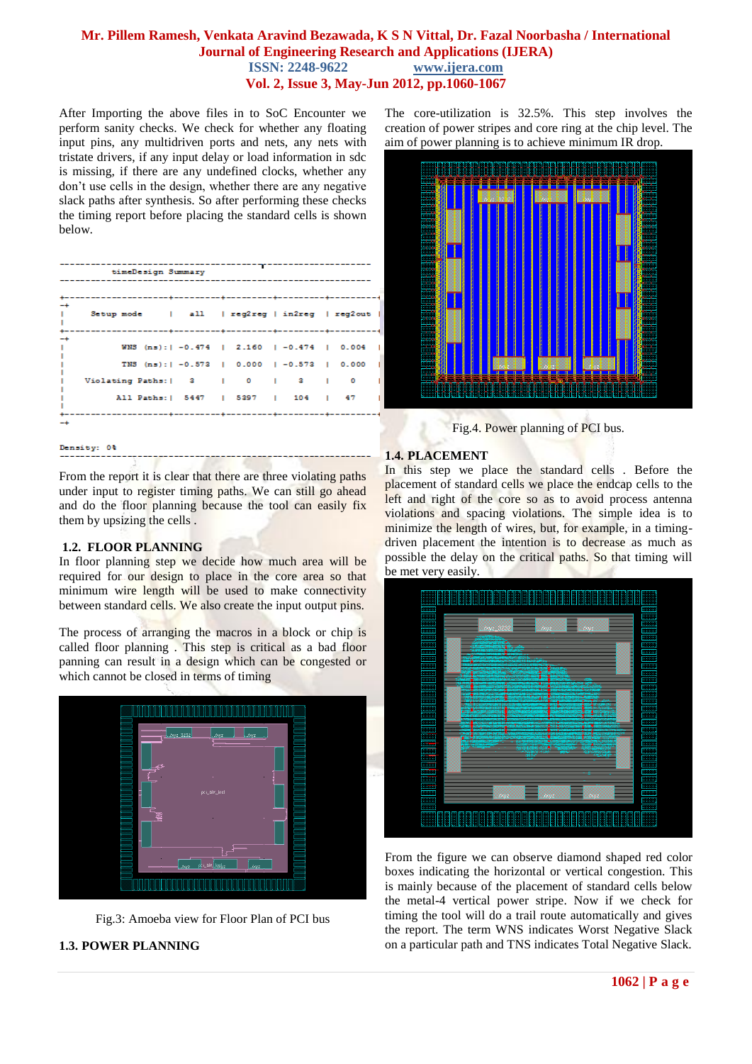After Importing the above files in to SoC Encounter we perform sanity checks. We check for whether any floating input pins, any multidriven ports and nets, any nets with tristate drivers, if any input delay or load information in sdc is missing, if there are any undefined clocks, whether any don't use cells in the design, whether there are any negative slack paths after synthesis. So after performing these checks the timing report before placing the standard cells is shown below.

|           | timeDesign Summary                                                                                                                                                        |  |  |  |  |
|-----------|---------------------------------------------------------------------------------------------------------------------------------------------------------------------------|--|--|--|--|
|           |                                                                                                                                                                           |  |  |  |  |
| -+−<br>T. | Setup mode   all   reg2reg   in2reg   reg2out                                                                                                                             |  |  |  |  |
| -+        | WNS (ns):   -0.474   2.160   -0.474   0.004  <br>TNS (ns):   -0.573   0.000   -0.573   0.000  <br>Violating Paths:   3   0   3   0<br>All Paths:   5447   5397   104   47 |  |  |  |  |
|           |                                                                                                                                                                           |  |  |  |  |

#### Density: 0%

From the report it is clear that there are three violating paths under input to register timing paths. We can still go ahead and do the floor planning because the tool can easily fix them by upsizing the cells .

#### **1.2. FLOOR PLANNING**

In floor planning step we decide how much area will be required for our design to place in the core area so that minimum wire length will be used to make connectivity between standard cells. We also create the input output pins.

The process of arranging the macros in a block or chip is called floor planning . This step is critical as a bad floor panning can result in a design which can be congested or which cannot be closed in terms of timing



Fig.3: Amoeba view for Floor Plan of PCI bus

## **1.3. POWER PLANNING**

The core-utilization is 32.5%. This step involves the creation of power stripes and core ring at the chip level. The aim of power planning is to achieve minimum IR drop.



Fig.4. Power planning of PCI bus.

#### **1.4. PLACEMENT**

In this step we place the standard cells . Before the placement of standard cells we place the endcap cells to the left and right of the core so as to avoid process antenna violations and spacing violations. The simple idea is to minimize the length of wires, but, for example, in a timingdriven placement the intention is to decrease as much as possible the delay on the critical paths. So that timing will be met very easily.



From the figure we can observe diamond shaped red color boxes indicating the horizontal or vertical congestion. This is mainly because of the placement of standard cells below the metal-4 vertical power stripe. Now if we check for timing the tool will do a trail route automatically and gives the report. The term WNS indicates Worst Negative Slack on a particular path and TNS indicates Total Negative Slack.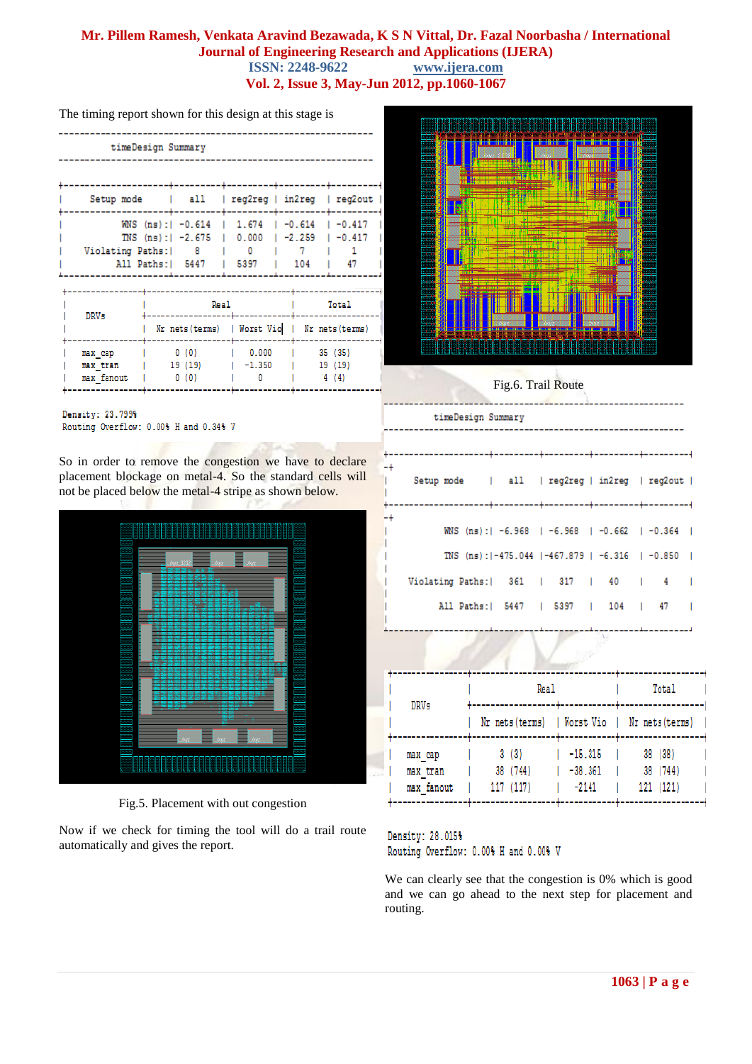φ.  $-4$ 

The timing report shown for this design at this stage is

| timeDesign Summary                            |     |                                                                                                              |     |      |  |  |  |  |
|-----------------------------------------------|-----|--------------------------------------------------------------------------------------------------------------|-----|------|--|--|--|--|
|                                               |     |                                                                                                              |     |      |  |  |  |  |
| Setup mode   all   reg2reg   in2reg   reg2out |     |                                                                                                              |     |      |  |  |  |  |
| Violating Paths:<br>All Paths:   5447         | - 8 | WNS (ns):  -0.614   1.674   -0.614   -0.417  <br>TNS (ns):   -2.675   0.000   -2.259   -0.417  <br>0<br>5397 | 104 | - 47 |  |  |  |  |

| <b>DRVs</b>            | Real                                          | Total    |                 |  |
|------------------------|-----------------------------------------------|----------|-----------------|--|
|                        | Nr nets (terms)   Worst Vio   Nr nets (terms) |          |                 |  |
| max cap                | 0(0)                                          | 0.000    | 35 (35)         |  |
| max tran<br>max fanout | 19 (19)<br>0(0)                               | $-1.350$ | 19 (19)<br>4(4) |  |

Density: 23.799% Routing Overflow: 0.00% H and 0.34% V

So in order to remove the congestion we have to declare placement blockage on metal-4. So the standard cells will not be placed below the metal-4 stripe as shown below.



Fig.5. Placement with out congestion

Now if we check for timing the tool will do a trail route automatically and gives the report.



Fig.6. Trail Route

timeDesign Summary

| Setup mode   all   reg2reg   in2reg   reg2out |  |  |                                                           |  |  |
|-----------------------------------------------|--|--|-----------------------------------------------------------|--|--|
|                                               |  |  | WNS (ns):  -6.968   -6.968   -0.662   -0.364              |  |  |
|                                               |  |  | TNS (ns): $1-475.044$ $1-467.879$ $1-6.316$ $1-0.850$ $1$ |  |  |
| Violating Paths:   361   317   40   4         |  |  |                                                           |  |  |
|                                               |  |  | All Paths:   5447   5397   104   47                       |  |  |
|                                               |  |  |                                                           |  |  |

|             |                                   | Real                                          | Total                             |                                  |  |
|-------------|-----------------------------------|-----------------------------------------------|-----------------------------------|----------------------------------|--|
| <b>DRVs</b> |                                   | Nr nets (terms)   Worst Vio   Nr nets (terms) |                                   |                                  |  |
|             | мах сар<br>max tran<br>max fanout | 3(3)<br>38 (744)<br>117 (117)                 | $-15.315$<br>$-38.361$<br>$-2141$ | 38 (38)<br>38 (744)<br>121 (121) |  |

Density: 28.015% Routing Overflow: 0.00% H and 0.00% V

We can clearly see that the congestion is 0% which is good and we can go ahead to the next step for placement and routing.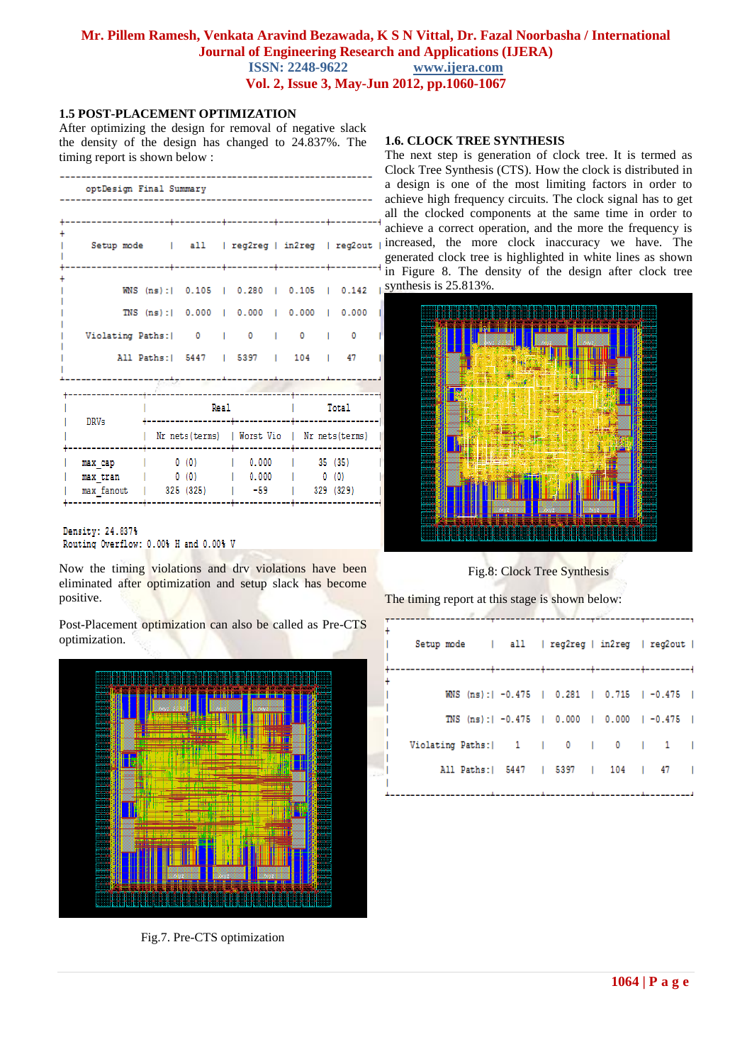## **Mr. Pillem Ramesh, Venkata Aravind Bezawada, K S N Vittal, Dr. Fazal Noorbasha / International Journal of Engineering Research and Applications (IJERA)**<br>ISSN: 2248-9622 www.ijera.com **ISSN: 2248-9622**

**Vol. 2, Issue 3, May-Jun 2012, pp.1060-1067**

#### **1.5 POST-PLACEMENT OPTIMIZATION**

After optimizing the design for removal of negative slack the density of the design has changed to 24.837%. The timing report is shown below :

| optDesign Final Summary                       |                                                |           |  |                                       |  |                                               |         |                                           |  |
|-----------------------------------------------|------------------------------------------------|-----------|--|---------------------------------------|--|-----------------------------------------------|---------|-------------------------------------------|--|
|                                               |                                                |           |  |                                       |  |                                               |         |                                           |  |
| Setup mode   all   reg2reg   in2reg   reg2out |                                                |           |  |                                       |  |                                               |         |                                           |  |
|                                               |                                                |           |  |                                       |  |                                               |         | WNS (ns):   0.105   0.280   0.105   0.142 |  |
|                                               | TNS (ns):  0.000   0.000   0.000   0.000       |           |  |                                       |  |                                               |         |                                           |  |
| Violating Paths:   0                          |                                                |           |  | $0 \quad 1 \quad$                     |  | $0 \sim$                                      |         | $\begin{array}{ccc} & & 0 \\ \end{array}$ |  |
|                                               | All Paths:   5447   5397   104   47            |           |  |                                       |  |                                               |         |                                           |  |
|                                               |                                                |           |  | ------------------------------------- |  |                                               |         |                                           |  |
| <b>DRVs</b>                                   | Real                                           |           |  |                                       |  | Total                                         |         |                                           |  |
|                                               |                                                |           |  | -----------                           |  | Nr nets (terms)   Worst Vio   Nr nets (terms) |         |                                           |  |
| max cap                                       | 0 (0)   0.000                                  |           |  |                                       |  |                                               | 35 (35) |                                           |  |
| max tran<br>max fanout                        | $\begin{pmatrix} 0 & 0 \\ 0 & 0 \end{pmatrix}$ | 325 (325) |  | 10.000<br>$-59$                       |  |                                               | 0(0)    | 329 (329)                                 |  |
|                                               |                                                |           |  | --------                              |  |                                               |         |                                           |  |

Density: 24.837% Routing Overflow: 0.00% H and 0.00% V

Now the timing violations and drv violations have been eliminated after optimization and setup slack has become positive.

Post-Placement optimization can also be called as Pre-CTS optimization.



Fig.7. Pre-CTS optimization

#### **1.6. CLOCK TREE SYNTHESIS**

The next step is generation of clock tree. It is termed as Clock Tree Synthesis (CTS). How the clock is distributed in a design is one of the most limiting factors in order to achieve high frequency circuits. The clock signal has to get all the clocked components at the same time in order to achieve a correct operation, and the more the frequency is increased, the more clock inaccuracy we have. The generated clock tree is highlighted in white lines as shown in Figure 8. The density of the design after clock tree synthesis is 25.813%.



Fig.8: Clock Tree Synthesis

The timing report at this stage is shown below:

| Setup mode   all   reg2reg   in2reg   reg2out |  |                                                                                                                 |
|-----------------------------------------------|--|-----------------------------------------------------------------------------------------------------------------|
|                                               |  | WNS (ns):   -0.475   0.281   0.715   -0.475                                                                     |
|                                               |  | TNS (ns):   -0.475   0.000   0.000   -0.475                                                                     |
| Violating Paths:   1   0   0   1              |  |                                                                                                                 |
| All Paths:   5447   5397   104   47           |  |                                                                                                                 |
|                                               |  | the contract of the contract of the contract of the contract of the contract of the contract of the contract of |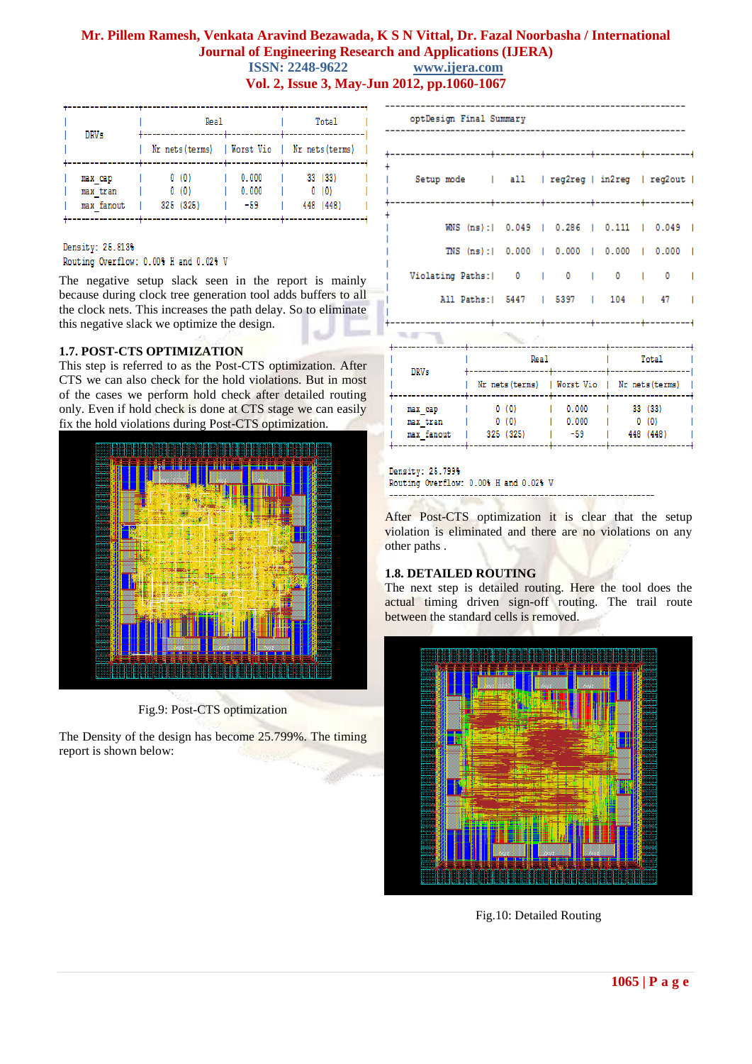| <b>DRVs</b>                       | Real                                          | Total                   |                              |  |  |
|-----------------------------------|-----------------------------------------------|-------------------------|------------------------------|--|--|
|                                   | Nr nets (terms)   Worst Vio   Nr nets (terms) |                         |                              |  |  |
| max cap<br>max tran<br>max fanout | 0(0)<br>0 (0)<br>325 (325)                    | 0.000<br>0.000<br>$-59$ | 33 (33)<br>0(0)<br>448 (448) |  |  |

#### Density: 25.813%

Routing Overflow: 0.00% H and 0.02% V

The negative setup slack seen in the report is mainly because during clock tree generation tool adds buffers to all the clock nets. This increases the path delay. So to eliminate this negative slack we optimize the design.

#### **1.7. POST-CTS OPTIMIZATION**

This step is referred to as the Post-CTS optimization. After CTS we can also check for the hold violations. But in most of the cases we perform hold check after detailed routing only. Even if hold check is done at CTS stage we can easily fix the hold violations during Post-CTS optimization.



Fig.9: Post-CTS optimization

The Density of the design has become 25.799%. The timing report is shown below:

| optDesign Final Summary                                                                                                |  |  |  |  |  |  |  |  |  |
|------------------------------------------------------------------------------------------------------------------------|--|--|--|--|--|--|--|--|--|
|                                                                                                                        |  |  |  |  |  |  |  |  |  |
| Setup mode   all   reg2reg   in2reg   reg2out                                                                          |  |  |  |  |  |  |  |  |  |
| WNS (ns):  0.049   0.286   0.111   0.049                                                                               |  |  |  |  |  |  |  |  |  |
| TNS (ns):   0.000   0.000   0.000   0.000                                                                              |  |  |  |  |  |  |  |  |  |
| Violating Paths:   0   0   0   0                                                                                       |  |  |  |  |  |  |  |  |  |
| All Paths:   5447   5397   104   47                                                                                    |  |  |  |  |  |  |  |  |  |
|                                                                                                                        |  |  |  |  |  |  |  |  |  |
| the contract of the contract of the contract of the contract of the contract of the contract of the contract of<br>. . |  |  |  |  |  |  |  |  |  |

| <b>DRVs</b> |                                   | <b>Real</b>                                   | Total                 |                             |  |
|-------------|-----------------------------------|-----------------------------------------------|-----------------------|-----------------------------|--|
|             |                                   | Nr nets (terms)   Worst Vio   Nr nets (terms) |                       |                             |  |
|             | max cap<br>max tran<br>max fanout | 0(0)<br>0(0)<br>325 (325)                     | 0.000<br>0.000<br>-59 | 33(33)<br>0(0)<br>448 (448) |  |

#### Density: 25.799% Routing Overflow: 0.00% H and 0.02% V ----------------

After Post-CTS optimization it is clear that the setup violation is eliminated and there are no violations on any other paths .

#### **1.8. DETAILED ROUTING**

The next step is detailed routing. Here the tool does the actual timing driven sign-off routing. The trail route between the standard cells is removed.



Fig.10: Detailed Routing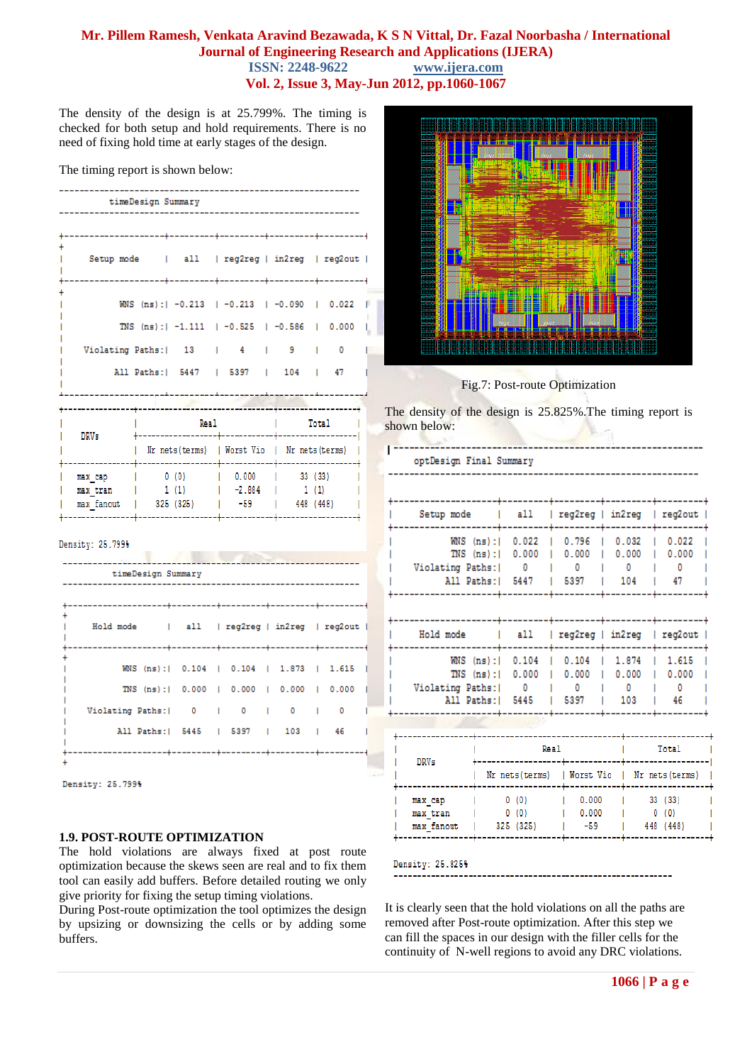The density of the design is at 25.799%. The timing is checked for both setup and hold requirements. There is no need of fixing hold time at early stages of the design.

The timing report is shown below:

| timeDesign Summary                            |                   |                                  |  |                                               |  |                     |         |       |  |  |
|-----------------------------------------------|-------------------|----------------------------------|--|-----------------------------------------------|--|---------------------|---------|-------|--|--|
|                                               |                   | -------------------------------- |  |                                               |  | -+---------+------- |         |       |  |  |
| Setup mode   all   reg2reg   in2reg   reg2out |                   | ------+--------                  |  |                                               |  |                     |         |       |  |  |
|                                               |                   |                                  |  | WNS (ns):   -0.213   -0.213   -0.090   0.022  |  |                     |         |       |  |  |
|                                               |                   |                                  |  | TNS (ns):   -1.111   -0.525   -0.586   0.000  |  |                     |         |       |  |  |
| Violating Paths:   13   4                     |                   |                                  |  |                                               |  | 9.                  | T       | 0     |  |  |
|                                               |                   |                                  |  | All Paths:   5447   5397   104   47           |  |                     |         |       |  |  |
|                                               |                   |                                  |  |                                               |  |                     |         |       |  |  |
| <b>DRVs</b>                                   |                   | Real<br>-----------              |  |                                               |  |                     |         | Total |  |  |
|                                               |                   |                                  |  | Nr nets (terms)   Worst Vio   Nr nets (terms) |  |                     |         |       |  |  |
| мах сар                                       |                   | 0(0)                             |  | 10.000                                        |  |                     | 33 (33) |       |  |  |
| max tran<br>max fanout                        | 1(1)<br>325 (325) |                                  |  | $1 - 2.884$<br>-59                            |  | 1(1)<br>448 (448)   |         |       |  |  |
|                                               |                   |                                  |  |                                               |  |                     |         |       |  |  |

#### Density: 25.799%

| timeDesign Summary                           |                                           |   |                |    |
|----------------------------------------------|-------------------------------------------|---|----------------|----|
| Hold mode   all   reg2reg   in2reg   reg2out |                                           |   |                |    |
|                                              | WNS (ns):   0.104   0.104   1.873   1.615 |   |                |    |
|                                              | TNS (ns):  0.000   0.000   0.000   0.000  |   |                |    |
| Violating Paths:   0                         |                                           | 0 | $\blacksquare$ | O  |
|                                              | All Paths:   5445   5397   103            |   |                | 46 |

Density: 25.799%

#### **1.9. POST-ROUTE OPTIMIZATION**

The hold violations are always fixed at post route optimization because the skews seen are real and to fix them tool can easily add buffers. Before detailed routing we only give priority for fixing the setup timing violations.

During Post-route optimization the tool optimizes the design by upsizing or downsizing the cells or by adding some buffers.



Fig.7: Post-route Optimization

The density of the design is 25.825%.The timing report is shown below:

|                                                                |          | optDesign Final Summary     |                             |                                                         |                              |  |  |
|----------------------------------------------------------------|----------|-----------------------------|-----------------------------|---------------------------------------------------------|------------------------------|--|--|
| Setup mode                                                     |          | all                         | reg2reg   in2reg            |                                                         | reg2out                      |  |  |
| $WNS$ (ns):<br>$TNS$ (ns):<br>Violating Paths:<br>All Paths: I |          | 0.022<br>0.000<br>0<br>5447 | 0.796<br>0.000<br>0<br>5397 | 0.032<br>0.022<br>0.000<br>0.000<br>0<br>0<br>104<br>47 |                              |  |  |
| Hold mode                                                      |          | all                         | $req2reg$                   | in2reg                                                  | reg2out                      |  |  |
| $WNS$ $(ns)$ :<br>TNS<br>Violating Paths:<br>All Paths: I      | $(ns)$ : | 0.104<br>0.000<br>0<br>5445 | 0.104<br>0.000<br>0<br>5397 | 1.874<br>1.615<br>0.000<br>0.000<br>0<br>0<br>103<br>46 |                              |  |  |
|                                                                |          |                             |                             |                                                         |                              |  |  |
| <b>DRVs</b>                                                    |          | Real                        |                             | Total                                                   |                              |  |  |
|                                                                |          | Nr nets (terms)             | Worst Vio                   |                                                         | Nr nets (terms)              |  |  |
| max cap<br>max tran<br>max fanout                              |          | 0(0)<br>0(0)<br>325 (325)   | 0.000<br>0.000<br>$-59$     |                                                         | 33 (33)<br>0(0)<br>448 (448) |  |  |

It is clearly seen that the hold violations on all the paths are removed after Post-route optimization. After this step we can fill the spaces in our design with the filler cells for the continuity of N-well regions to avoid any DRC violations.